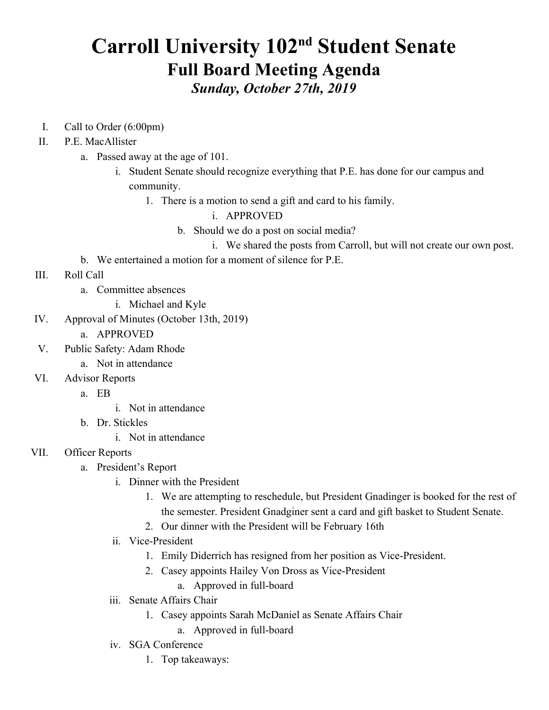# **Carroll University 102<sup>nd</sup> Student Senate Full Board Meeting Agenda** *Sunday, October 27th, 2019*

- I. Call to Order (6:00pm)
- II. P.E. MacAllister
	- a. Passed away at the age of 101.
		- i. Student Senate should recognize everything that P.E. has done for our campus and community.
			- 1. There is a motion to send a gift and card to his family.

#### i. APPROVED

- b. Should we do a post on social media?
	- i. We shared the posts from Carroll, but will not create our own post.
- b. We entertained a motion for a moment of silence for P.E.
- III. Roll Call
	- a. Committee absences
		- i. Michael and Kyle
- IV. Approval of Minutes (October 13th, 2019)
	- a. APPROVED
- V. Public Safety: Adam Rhode
	- a. Not in attendance
- VI. Advisor Reports
	- a. EB
- i. Not in attendance
- b. Dr. Stickles
	- i. Not in attendance

#### VII. Officer Reports

- a. President's Report
	- i. Dinner with the President
		- 1. We are attempting to reschedule, but President Gnadinger is booked for the rest of the semester. President Gnadginer sent a card and gift basket to Student Senate.
		- 2. Our dinner with the President will be February 16th
	- ii. Vice-President
		- 1. Emily Diderrich has resigned from her position as Vice-President.
		- 2. Casey appoints Hailey Von Dross as Vice-President
			- a. Approved in full-board
	- iii. Senate Affairs Chair
		- 1. Casey appoints Sarah McDaniel as Senate Affairs Chair
			- a. Approved in full-board
	- iv. SGA Conference
		- 1. Top takeaways: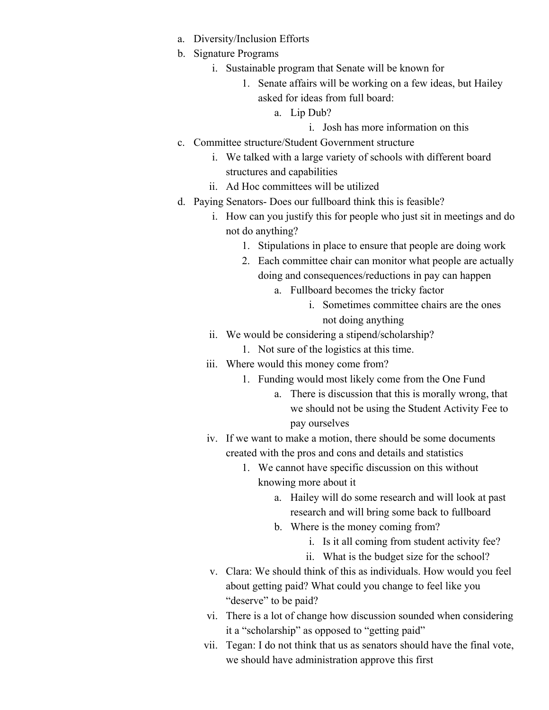- a. Diversity/Inclusion Efforts
- b. Signature Programs
	- i. Sustainable program that Senate will be known for
		- 1. Senate affairs will be working on a few ideas, but Hailey asked for ideas from full board:
			- a. Lip Dub?
				- i. Josh has more information on this
- c. Committee structure/Student Government structure
	- i. We talked with a large variety of schools with different board structures and capabilities
	- ii. Ad Hoc committees will be utilized
- d. Paying Senators- Does our fullboard think this is feasible?
	- i. How can you justify this for people who just sit in meetings and do not do anything?
		- 1. Stipulations in place to ensure that people are doing work
		- 2. Each committee chair can monitor what people are actually doing and consequences/reductions in pay can happen
			- a. Fullboard becomes the tricky factor
				- i. Sometimes committee chairs are the ones not doing anything
	- ii. We would be considering a stipend/scholarship?
		- 1. Not sure of the logistics at this time.
	- iii. Where would this money come from?
		- 1. Funding would most likely come from the One Fund
			- a. There is discussion that this is morally wrong, that we should not be using the Student Activity Fee to pay ourselves
	- iv. If we want to make a motion, there should be some documents created with the pros and cons and details and statistics
		- 1. We cannot have specific discussion on this without knowing more about it
			- a. Hailey will do some research and will look at past research and will bring some back to fullboard
			- b. Where is the money coming from?
				- i. Is it all coming from student activity fee?
				- ii. What is the budget size for the school?
	- v. Clara: We should think of this as individuals. How would you feel about getting paid? What could you change to feel like you "deserve" to be paid?
	- vi. There is a lot of change how discussion sounded when considering it a "scholarship" as opposed to "getting paid"
	- vii. Tegan: I do not think that us as senators should have the final vote, we should have administration approve this first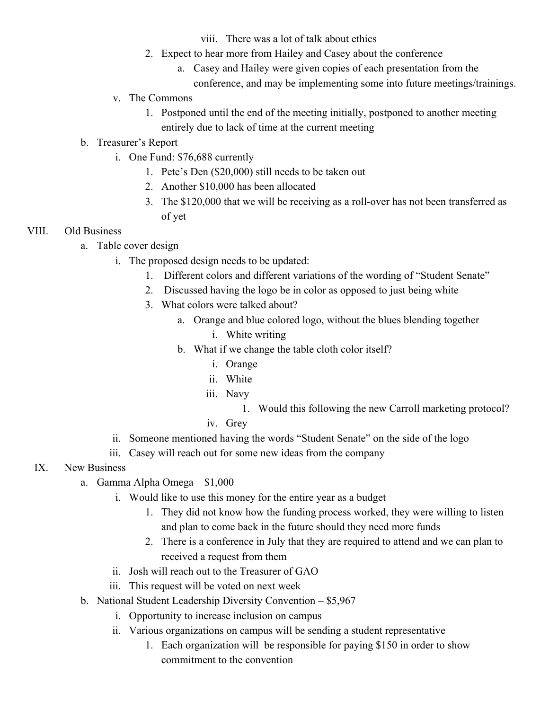viii. There was a lot of talk about ethics

- 2. Expect to hear more from Hailey and Casey about the conference
	- a. Casey and Hailey were given copies of each presentation from the conference, and may be implementing some into future meetings/trainings.
- v. The Commons
	- 1. Postponed until the end of the meeting initially, postponed to another meeting entirely due to lack of time at the current meeting

# b. Treasurer's Report

- i. One Fund: \$76,688 currently
	- 1. Pete's Den (\$20,000) still needs to be taken out
	- 2. Another \$10,000 has been allocated
	- 3. The \$120,000 that we will be receiving as a roll-over has not been transferred as of yet

# VIII. Old Business

- a. Table cover design
	- i. The proposed design needs to be updated:
		- 1. Different colors and different variations of the wording of "Student Senate"
		- 2. Discussed having the logo be in color as opposed to just being white
		- 3. What colors were talked about?
			- a. Orange and blue colored logo, without the blues blending together
				- i. White writing
			- b. What if we change the table cloth color itself?
				- i. Orange
				- ii. White
				- iii. Navy
					- 1. Would this following the new Carroll marketing protocol?
				- iv. Grey
	- ii. Someone mentioned having the words "Student Senate" on the side of the logo
	- iii. Casey will reach out for some new ideas from the company

# IX. New Business

- a. Gamma Alpha Omega \$1,000
	- i. Would like to use this money for the entire year as a budget
		- 1. They did not know how the funding process worked, they were willing to listen and plan to come back in the future should they need more funds
		- 2. There is a conference in July that they are required to attend and we can plan to received a request from them
	- ii. Josh will reach out to the Treasurer of GAO
	- iii. This request will be voted on next week
- b. National Student Leadership Diversity Convention \$5,967
	- i. Opportunity to increase inclusion on campus
	- ii. Various organizations on campus will be sending a student representative
		- 1. Each organization will be responsible for paying \$150 in order to show commitment to the convention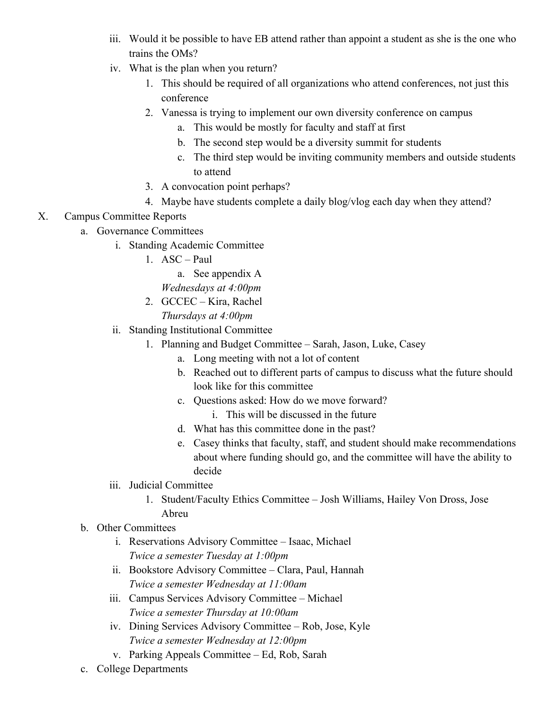- iii. Would it be possible to have EB attend rather than appoint a student as she is the one who trains the OMs?
- iv. What is the plan when you return?
	- 1. This should be required of all organizations who attend conferences, not just this conference
	- 2. Vanessa is trying to implement our own diversity conference on campus
		- a. This would be mostly for faculty and staff at first
		- b. The second step would be a diversity summit for students
		- c. The third step would be inviting community members and outside students to attend
	- 3. A convocation point perhaps?
	- 4. Maybe have students complete a daily blog/vlog each day when they attend?

# X. Campus Committee Reports

- a. Governance Committees
	- i. Standing Academic Committee
		- 1. ASC Paul
			- a. See appendix A
			- *Wednesdays at 4:00pm*
		- 2. GCCEC Kira, Rachel
			- *Thursdays at 4:00pm*
	- ii. Standing Institutional Committee
		- 1. Planning and Budget Committee Sarah, Jason, Luke, Casey
			- a. Long meeting with not a lot of content
			- b. Reached out to different parts of campus to discuss what the future should look like for this committee
			- c. Questions asked: How do we move forward?
				- i. This will be discussed in the future
			- d. What has this committee done in the past?
			- e. Casey thinks that faculty, staff, and student should make recommendations about where funding should go, and the committee will have the ability to decide
	- iii. Judicial Committee
		- 1. Student/Faculty Ethics Committee Josh Williams, Hailey Von Dross, Jose Abreu
- b. Other Committees
	- i. Reservations Advisory Committee Isaac, Michael *Twice a semester Tuesday at 1:00pm*
	- ii. Bookstore Advisory Committee Clara, Paul, Hannah *Twice a semester Wednesday at 11:00am*
	- iii. Campus Services Advisory Committee Michael *Twice a semester Thursday at 10:00am*
	- iv. Dining Services Advisory Committee Rob, Jose, Kyle *Twice a semester Wednesday at 12:00pm*
	- v. Parking Appeals Committee Ed, Rob, Sarah
- c. College Departments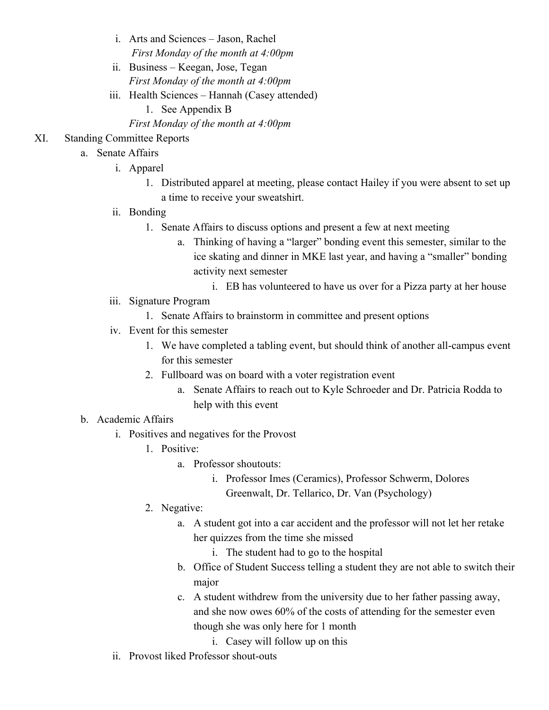- i. Arts and Sciences Jason, Rachel  *First Monday of the month at 4:00pm*
- ii. Business Keegan, Jose, Tegan *First Monday of the month at 4:00pm*
- iii. Health Sciences Hannah (Casey attended)
	- 1. See Appendix B
	- *First Monday of the month at 4:00pm*

# XI. Standing Committee Reports

- a. Senate Affairs
	- i. Apparel
		- 1. Distributed apparel at meeting, please contact Hailey if you were absent to set up a time to receive your sweatshirt.
	- ii. Bonding
		- 1. Senate Affairs to discuss options and present a few at next meeting
			- a. Thinking of having a "larger" bonding event this semester, similar to the ice skating and dinner in MKE last year, and having a "smaller" bonding activity next semester
				- i. EB has volunteered to have us over for a Pizza party at her house
	- iii. Signature Program
		- 1. Senate Affairs to brainstorm in committee and present options
	- iv. Event for this semester
		- 1. We have completed a tabling event, but should think of another all-campus event for this semester
		- 2. Fullboard was on board with a voter registration event
			- a. Senate Affairs to reach out to Kyle Schroeder and Dr. Patricia Rodda to help with this event

## b. Academic Affairs

- i. Positives and negatives for the Provost
	- 1. Positive:
		- a. Professor shoutouts:
			- i. Professor Imes (Ceramics), Professor Schwerm, Dolores Greenwalt, Dr. Tellarico, Dr. Van (Psychology)
	- 2. Negative:
		- a. A student got into a car accident and the professor will not let her retake her quizzes from the time she missed
			- i. The student had to go to the hospital
		- b. Office of Student Success telling a student they are not able to switch their major
		- c. A student withdrew from the university due to her father passing away, and she now owes 60% of the costs of attending for the semester even though she was only here for 1 month
			- i. Casey will follow up on this
- ii. Provost liked Professor shout-outs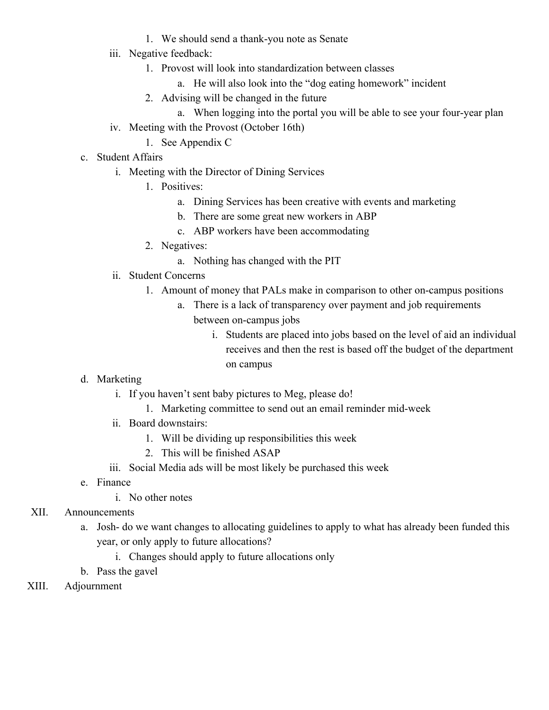- 1. We should send a thank-you note as Senate
- iii. Negative feedback:
	- 1. Provost will look into standardization between classes
		- a. He will also look into the "dog eating homework" incident
	- 2. Advising will be changed in the future
		- a. When logging into the portal you will be able to see your four-year plan
- iv. Meeting with the Provost (October 16th)
	- 1. See Appendix C
- c. Student Affairs
	- i. Meeting with the Director of Dining Services
		- 1. Positives:
			- a. Dining Services has been creative with events and marketing
			- b. There are some great new workers in ABP
			- c. ABP workers have been accommodating
		- 2. Negatives:
			- a. Nothing has changed with the PIT
	- ii. Student Concerns
		- 1. Amount of money that PALs make in comparison to other on-campus positions
			- a. There is a lack of transparency over payment and job requirements between on-campus jobs
				- i. Students are placed into jobs based on the level of aid an individual receives and then the rest is based off the budget of the department on campus
- d. Marketing
	- i. If you haven't sent baby pictures to Meg, please do!
		- 1. Marketing committee to send out an email reminder mid-week
	- ii. Board downstairs:
		- 1. Will be dividing up responsibilities this week
		- 2. This will be finished ASAP
	- iii. Social Media ads will be most likely be purchased this week
- e. Finance
	- i. No other notes
- XII. Announcements
	- a. Josh- do we want changes to allocating guidelines to apply to what has already been funded this year, or only apply to future allocations?
		- i. Changes should apply to future allocations only
	- b. Pass the gavel
- XIII. Adjournment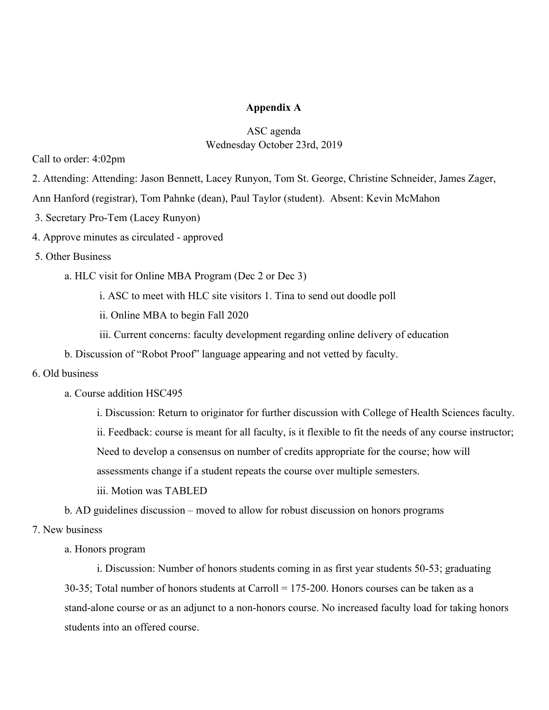#### **Appendix A**

## ASC agenda Wednesday October 23rd, 2019

Call to order: 4:02pm

2. Attending: Attending: Jason Bennett, Lacey Runyon, Tom St. George, Christine Schneider, James Zager,

Ann Hanford (registrar), Tom Pahnke (dean), Paul Taylor (student). Absent: Kevin McMahon

- 3. Secretary Pro-Tem (Lacey Runyon)
- 4. Approve minutes as circulated approved
- 5. Other Business

a. HLC visit for Online MBA Program (Dec 2 or Dec 3)

i. ASC to meet with HLC site visitors 1. Tina to send out doodle poll

ii. Online MBA to begin Fall 2020

iii. Current concerns: faculty development regarding online delivery of education

b. Discussion of "Robot Proof" language appearing and not vetted by faculty.

#### 6. Old business

a. Course addition HSC495

i. Discussion: Return to originator for further discussion with College of Health Sciences faculty. ii. Feedback: course is meant for all faculty, is it flexible to fit the needs of any course instructor;

Need to develop a consensus on number of credits appropriate for the course; how will

assessments change if a student repeats the course over multiple semesters.

iii. Motion was TABLED

b. AD guidelines discussion – moved to allow for robust discussion on honors programs

7. New business

a. Honors program

i. Discussion: Number of honors students coming in as first year students 50-53; graduating 30-35; Total number of honors students at Carroll = 175-200. Honors courses can be taken as a stand-alone course or as an adjunct to a non-honors course. No increased faculty load for taking honors students into an offered course.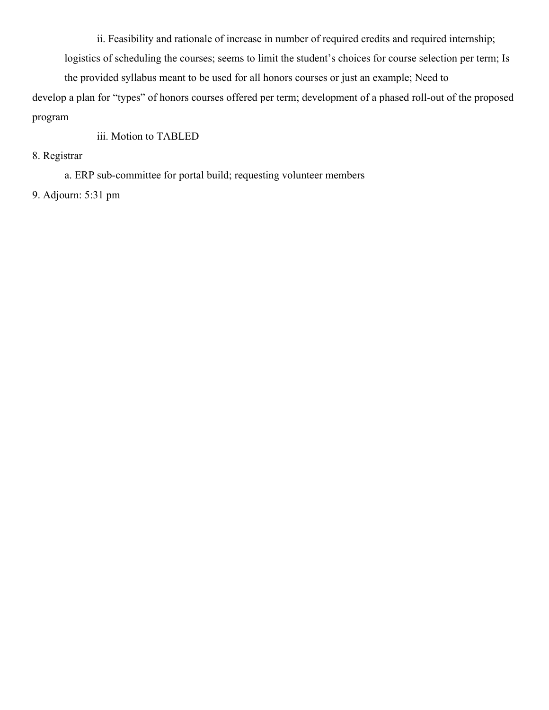ii. Feasibility and rationale of increase in number of required credits and required internship;

logistics of scheduling the courses; seems to limit the student's choices for course selection per term; Is

the provided syllabus meant to be used for all honors courses or just an example; Need to

develop a plan for "types" of honors courses offered per term; development of a phased roll-out of the proposed program

# iii. Motion to TABLED

8. Registrar

a. ERP sub-committee for portal build; requesting volunteer members

9. Adjourn: 5:31 pm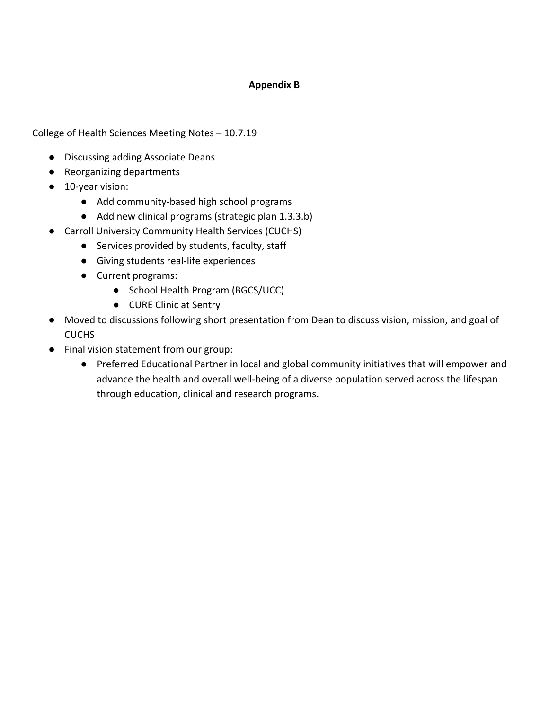### **Appendix B**

College of Health Sciences Meeting Notes – 10.7.19

- Discussing adding Associate Deans
- Reorganizing departments
- 10-year vision:
	- Add community-based high school programs
	- Add new clinical programs (strategic plan 1.3.3.b)
- Carroll University Community Health Services (CUCHS)
	- Services provided by students, faculty, staff
	- Giving students real-life experiences
	- Current programs:
		- School Health Program (BGCS/UCC)
		- CURE Clinic at Sentry
- Moved to discussions following short presentation from Dean to discuss vision, mission, and goal of CUCHS
- Final vision statement from our group:
	- Preferred Educational Partner in local and global community initiatives that will empower and advance the health and overall well-being of a diverse population served across the lifespan through education, clinical and research programs.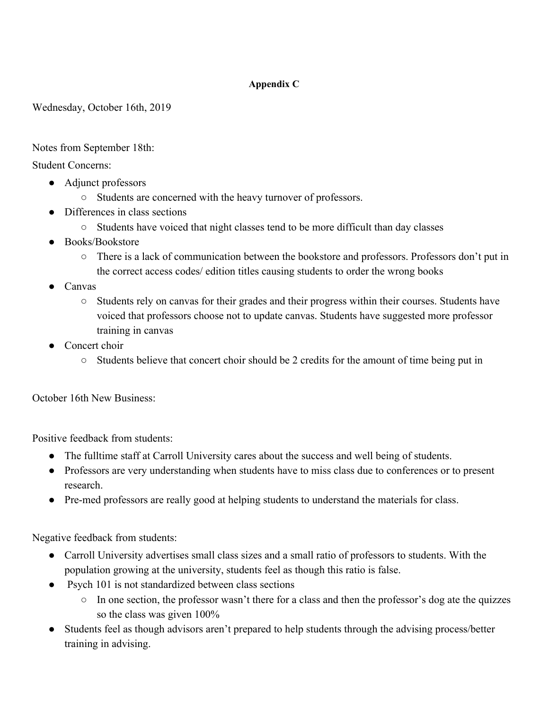## **Appendix C**

Wednesday, October 16th, 2019

Notes from September 18th:

Student Concerns:

- Adjunct professors
	- Students are concerned with the heavy turnover of professors.
- Differences in class sections
	- Students have voiced that night classes tend to be more difficult than day classes
- Books/Bookstore
	- There is a lack of communication between the bookstore and professors. Professors don't put in the correct access codes/ edition titles causing students to order the wrong books
- **Canvas** 
	- Students rely on canvas for their grades and their progress within their courses. Students have voiced that professors choose not to update canvas. Students have suggested more professor training in canvas
- Concert choir
	- $\circ$  Students believe that concert choir should be 2 credits for the amount of time being put in

October 16th New Business:

Positive feedback from students:

- The fulltime staff at Carroll University cares about the success and well being of students.
- Professors are very understanding when students have to miss class due to conferences or to present research.
- Pre-med professors are really good at helping students to understand the materials for class.

Negative feedback from students:

- Carroll University advertises small class sizes and a small ratio of professors to students. With the population growing at the university, students feel as though this ratio is false.
- Psych 101 is not standardized between class sections
	- In one section, the professor wasn't there for a class and then the professor's dog ate the quizzes so the class was given 100%
- Students feel as though advisors aren't prepared to help students through the advising process/better training in advising.